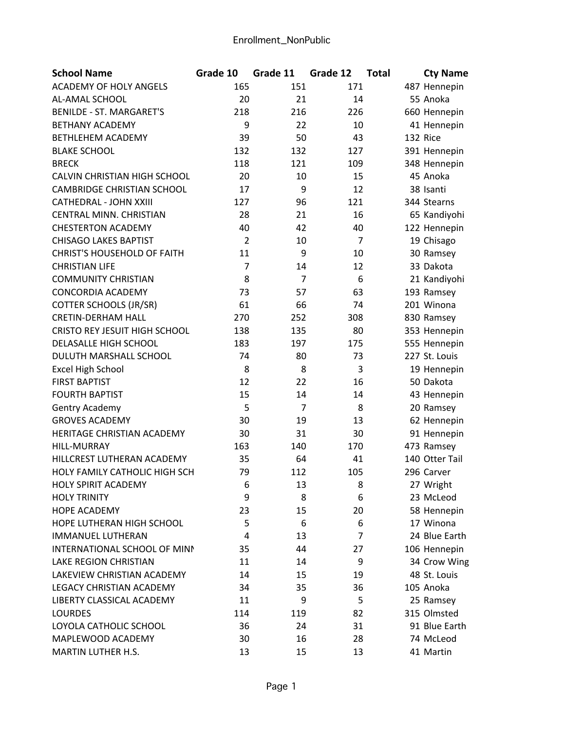| <b>ACADEMY OF HOLY ANGELS</b><br>165<br>171<br>151<br>487 Hennepin<br>55 Anoka<br>AL-AMAL SCHOOL<br>20<br>21<br>14<br><b>BENILDE - ST. MARGARET'S</b><br>218<br>216<br>226<br>660 Hennepin<br><b>BETHANY ACADEMY</b><br>9<br>22<br>10<br>41 Hennepin<br>43<br><b>BETHLEHEM ACADEMY</b><br>39<br>50<br>132 Rice<br><b>BLAKE SCHOOL</b><br>132<br>132<br>127<br>391 Hennepin<br><b>BRECK</b><br>118<br>121<br>109<br>348 Hennepin<br>CALVIN CHRISTIAN HIGH SCHOOL<br>20<br>10<br>15<br>45 Anoka<br>9<br><b>CAMBRIDGE CHRISTIAN SCHOOL</b><br>17<br>12<br>38 Isanti<br>127<br>96<br>121<br>344 Stearns<br>CATHEDRAL - JOHN XXIII<br>CENTRAL MINN. CHRISTIAN<br>28<br>21<br>16<br>65 Kandiyohi<br><b>CHESTERTON ACADEMY</b><br>40<br>42<br>40<br>122 Hennepin<br>2<br>$\overline{7}$<br><b>CHISAGO LAKES BAPTIST</b><br>19 Chisago<br>10<br>9<br><b>CHRIST'S HOUSEHOLD OF FAITH</b><br>11<br>10<br>30 Ramsey<br>7<br>12<br>33 Dakota<br><b>CHRISTIAN LIFE</b><br>14<br>8<br>$\overline{7}$<br>6<br><b>COMMUNITY CHRISTIAN</b><br>21 Kandiyohi<br>57<br>63<br>CONCORDIA ACADEMY<br>73<br>193 Ramsey<br>66<br>61<br>74<br>201 Winona<br><b>COTTER SCHOOLS (JR/SR)</b><br><b>CRETIN-DERHAM HALL</b><br>270<br>252<br>308<br>830 Ramsey<br><b>CRISTO REY JESUIT HIGH SCHOOL</b><br>80<br>138<br>135<br>353 Hennepin<br>183<br>197<br>DELASALLE HIGH SCHOOL<br>175<br>555 Hennepin<br>DULUTH MARSHALL SCHOOL<br>74<br>80<br>73<br>227 St. Louis<br>8<br>3<br>8<br><b>Excel High School</b><br>19 Hennepin<br><b>FIRST BAPTIST</b><br>12<br>22<br>16<br>50 Dakota<br><b>FOURTH BAPTIST</b><br>15<br>14<br>14<br>43 Hennepin |
|-------------------------------------------------------------------------------------------------------------------------------------------------------------------------------------------------------------------------------------------------------------------------------------------------------------------------------------------------------------------------------------------------------------------------------------------------------------------------------------------------------------------------------------------------------------------------------------------------------------------------------------------------------------------------------------------------------------------------------------------------------------------------------------------------------------------------------------------------------------------------------------------------------------------------------------------------------------------------------------------------------------------------------------------------------------------------------------------------------------------------------------------------------------------------------------------------------------------------------------------------------------------------------------------------------------------------------------------------------------------------------------------------------------------------------------------------------------------------------------------------------------------------------------------------------------------------------------------------------------------|
|                                                                                                                                                                                                                                                                                                                                                                                                                                                                                                                                                                                                                                                                                                                                                                                                                                                                                                                                                                                                                                                                                                                                                                                                                                                                                                                                                                                                                                                                                                                                                                                                                   |
|                                                                                                                                                                                                                                                                                                                                                                                                                                                                                                                                                                                                                                                                                                                                                                                                                                                                                                                                                                                                                                                                                                                                                                                                                                                                                                                                                                                                                                                                                                                                                                                                                   |
|                                                                                                                                                                                                                                                                                                                                                                                                                                                                                                                                                                                                                                                                                                                                                                                                                                                                                                                                                                                                                                                                                                                                                                                                                                                                                                                                                                                                                                                                                                                                                                                                                   |
|                                                                                                                                                                                                                                                                                                                                                                                                                                                                                                                                                                                                                                                                                                                                                                                                                                                                                                                                                                                                                                                                                                                                                                                                                                                                                                                                                                                                                                                                                                                                                                                                                   |
|                                                                                                                                                                                                                                                                                                                                                                                                                                                                                                                                                                                                                                                                                                                                                                                                                                                                                                                                                                                                                                                                                                                                                                                                                                                                                                                                                                                                                                                                                                                                                                                                                   |
|                                                                                                                                                                                                                                                                                                                                                                                                                                                                                                                                                                                                                                                                                                                                                                                                                                                                                                                                                                                                                                                                                                                                                                                                                                                                                                                                                                                                                                                                                                                                                                                                                   |
|                                                                                                                                                                                                                                                                                                                                                                                                                                                                                                                                                                                                                                                                                                                                                                                                                                                                                                                                                                                                                                                                                                                                                                                                                                                                                                                                                                                                                                                                                                                                                                                                                   |
|                                                                                                                                                                                                                                                                                                                                                                                                                                                                                                                                                                                                                                                                                                                                                                                                                                                                                                                                                                                                                                                                                                                                                                                                                                                                                                                                                                                                                                                                                                                                                                                                                   |
|                                                                                                                                                                                                                                                                                                                                                                                                                                                                                                                                                                                                                                                                                                                                                                                                                                                                                                                                                                                                                                                                                                                                                                                                                                                                                                                                                                                                                                                                                                                                                                                                                   |
|                                                                                                                                                                                                                                                                                                                                                                                                                                                                                                                                                                                                                                                                                                                                                                                                                                                                                                                                                                                                                                                                                                                                                                                                                                                                                                                                                                                                                                                                                                                                                                                                                   |
|                                                                                                                                                                                                                                                                                                                                                                                                                                                                                                                                                                                                                                                                                                                                                                                                                                                                                                                                                                                                                                                                                                                                                                                                                                                                                                                                                                                                                                                                                                                                                                                                                   |
|                                                                                                                                                                                                                                                                                                                                                                                                                                                                                                                                                                                                                                                                                                                                                                                                                                                                                                                                                                                                                                                                                                                                                                                                                                                                                                                                                                                                                                                                                                                                                                                                                   |
|                                                                                                                                                                                                                                                                                                                                                                                                                                                                                                                                                                                                                                                                                                                                                                                                                                                                                                                                                                                                                                                                                                                                                                                                                                                                                                                                                                                                                                                                                                                                                                                                                   |
|                                                                                                                                                                                                                                                                                                                                                                                                                                                                                                                                                                                                                                                                                                                                                                                                                                                                                                                                                                                                                                                                                                                                                                                                                                                                                                                                                                                                                                                                                                                                                                                                                   |
|                                                                                                                                                                                                                                                                                                                                                                                                                                                                                                                                                                                                                                                                                                                                                                                                                                                                                                                                                                                                                                                                                                                                                                                                                                                                                                                                                                                                                                                                                                                                                                                                                   |
|                                                                                                                                                                                                                                                                                                                                                                                                                                                                                                                                                                                                                                                                                                                                                                                                                                                                                                                                                                                                                                                                                                                                                                                                                                                                                                                                                                                                                                                                                                                                                                                                                   |
|                                                                                                                                                                                                                                                                                                                                                                                                                                                                                                                                                                                                                                                                                                                                                                                                                                                                                                                                                                                                                                                                                                                                                                                                                                                                                                                                                                                                                                                                                                                                                                                                                   |
|                                                                                                                                                                                                                                                                                                                                                                                                                                                                                                                                                                                                                                                                                                                                                                                                                                                                                                                                                                                                                                                                                                                                                                                                                                                                                                                                                                                                                                                                                                                                                                                                                   |
|                                                                                                                                                                                                                                                                                                                                                                                                                                                                                                                                                                                                                                                                                                                                                                                                                                                                                                                                                                                                                                                                                                                                                                                                                                                                                                                                                                                                                                                                                                                                                                                                                   |
|                                                                                                                                                                                                                                                                                                                                                                                                                                                                                                                                                                                                                                                                                                                                                                                                                                                                                                                                                                                                                                                                                                                                                                                                                                                                                                                                                                                                                                                                                                                                                                                                                   |
|                                                                                                                                                                                                                                                                                                                                                                                                                                                                                                                                                                                                                                                                                                                                                                                                                                                                                                                                                                                                                                                                                                                                                                                                                                                                                                                                                                                                                                                                                                                                                                                                                   |
|                                                                                                                                                                                                                                                                                                                                                                                                                                                                                                                                                                                                                                                                                                                                                                                                                                                                                                                                                                                                                                                                                                                                                                                                                                                                                                                                                                                                                                                                                                                                                                                                                   |
|                                                                                                                                                                                                                                                                                                                                                                                                                                                                                                                                                                                                                                                                                                                                                                                                                                                                                                                                                                                                                                                                                                                                                                                                                                                                                                                                                                                                                                                                                                                                                                                                                   |
|                                                                                                                                                                                                                                                                                                                                                                                                                                                                                                                                                                                                                                                                                                                                                                                                                                                                                                                                                                                                                                                                                                                                                                                                                                                                                                                                                                                                                                                                                                                                                                                                                   |
|                                                                                                                                                                                                                                                                                                                                                                                                                                                                                                                                                                                                                                                                                                                                                                                                                                                                                                                                                                                                                                                                                                                                                                                                                                                                                                                                                                                                                                                                                                                                                                                                                   |
| 5<br>8<br>7<br>Gentry Academy<br>20 Ramsey                                                                                                                                                                                                                                                                                                                                                                                                                                                                                                                                                                                                                                                                                                                                                                                                                                                                                                                                                                                                                                                                                                                                                                                                                                                                                                                                                                                                                                                                                                                                                                        |
| 30<br>19<br>13<br><b>GROVES ACADEMY</b><br>62 Hennepin                                                                                                                                                                                                                                                                                                                                                                                                                                                                                                                                                                                                                                                                                                                                                                                                                                                                                                                                                                                                                                                                                                                                                                                                                                                                                                                                                                                                                                                                                                                                                            |
| HERITAGE CHRISTIAN ACADEMY<br>30<br>31<br>30<br>91 Hennepin                                                                                                                                                                                                                                                                                                                                                                                                                                                                                                                                                                                                                                                                                                                                                                                                                                                                                                                                                                                                                                                                                                                                                                                                                                                                                                                                                                                                                                                                                                                                                       |
| HILL-MURRAY<br>473 Ramsey<br>163<br>140<br>170                                                                                                                                                                                                                                                                                                                                                                                                                                                                                                                                                                                                                                                                                                                                                                                                                                                                                                                                                                                                                                                                                                                                                                                                                                                                                                                                                                                                                                                                                                                                                                    |
| HILLCREST LUTHERAN ACADEMY<br>35<br>64<br>41<br>140 Otter Tail                                                                                                                                                                                                                                                                                                                                                                                                                                                                                                                                                                                                                                                                                                                                                                                                                                                                                                                                                                                                                                                                                                                                                                                                                                                                                                                                                                                                                                                                                                                                                    |
| HOLY FAMILY CATHOLIC HIGH SCH<br>79<br>112<br>105<br>296 Carver                                                                                                                                                                                                                                                                                                                                                                                                                                                                                                                                                                                                                                                                                                                                                                                                                                                                                                                                                                                                                                                                                                                                                                                                                                                                                                                                                                                                                                                                                                                                                   |
| 13<br>27 Wright<br><b>HOLY SPIRIT ACADEMY</b><br>8<br>ь                                                                                                                                                                                                                                                                                                                                                                                                                                                                                                                                                                                                                                                                                                                                                                                                                                                                                                                                                                                                                                                                                                                                                                                                                                                                                                                                                                                                                                                                                                                                                           |
| 8<br><b>HOLY TRINITY</b><br>9<br>6<br>23 McLeod                                                                                                                                                                                                                                                                                                                                                                                                                                                                                                                                                                                                                                                                                                                                                                                                                                                                                                                                                                                                                                                                                                                                                                                                                                                                                                                                                                                                                                                                                                                                                                   |
| <b>HOPE ACADEMY</b><br>23<br>15<br>20<br>58 Hennepin                                                                                                                                                                                                                                                                                                                                                                                                                                                                                                                                                                                                                                                                                                                                                                                                                                                                                                                                                                                                                                                                                                                                                                                                                                                                                                                                                                                                                                                                                                                                                              |
| 5<br>6<br>17 Winona<br>HOPE LUTHERAN HIGH SCHOOL<br>6                                                                                                                                                                                                                                                                                                                                                                                                                                                                                                                                                                                                                                                                                                                                                                                                                                                                                                                                                                                                                                                                                                                                                                                                                                                                                                                                                                                                                                                                                                                                                             |
| 24 Blue Earth<br><b>IMMANUEL LUTHERAN</b><br>13<br>7<br>4                                                                                                                                                                                                                                                                                                                                                                                                                                                                                                                                                                                                                                                                                                                                                                                                                                                                                                                                                                                                                                                                                                                                                                                                                                                                                                                                                                                                                                                                                                                                                         |
| INTERNATIONAL SCHOOL OF MINN<br>35<br>44<br>27<br>106 Hennepin                                                                                                                                                                                                                                                                                                                                                                                                                                                                                                                                                                                                                                                                                                                                                                                                                                                                                                                                                                                                                                                                                                                                                                                                                                                                                                                                                                                                                                                                                                                                                    |
| <b>LAKE REGION CHRISTIAN</b><br>9<br>34 Crow Wing<br>11<br>14                                                                                                                                                                                                                                                                                                                                                                                                                                                                                                                                                                                                                                                                                                                                                                                                                                                                                                                                                                                                                                                                                                                                                                                                                                                                                                                                                                                                                                                                                                                                                     |
| LAKEVIEW CHRISTIAN ACADEMY<br>14<br>15<br>19<br>48 St. Louis                                                                                                                                                                                                                                                                                                                                                                                                                                                                                                                                                                                                                                                                                                                                                                                                                                                                                                                                                                                                                                                                                                                                                                                                                                                                                                                                                                                                                                                                                                                                                      |
| 36<br>105 Anoka<br>LEGACY CHRISTIAN ACADEMY<br>34<br>35                                                                                                                                                                                                                                                                                                                                                                                                                                                                                                                                                                                                                                                                                                                                                                                                                                                                                                                                                                                                                                                                                                                                                                                                                                                                                                                                                                                                                                                                                                                                                           |
| 5<br>LIBERTY CLASSICAL ACADEMY<br>11<br>9<br>25 Ramsey                                                                                                                                                                                                                                                                                                                                                                                                                                                                                                                                                                                                                                                                                                                                                                                                                                                                                                                                                                                                                                                                                                                                                                                                                                                                                                                                                                                                                                                                                                                                                            |
| 315 Olmsted<br><b>LOURDES</b><br>114<br>119<br>82                                                                                                                                                                                                                                                                                                                                                                                                                                                                                                                                                                                                                                                                                                                                                                                                                                                                                                                                                                                                                                                                                                                                                                                                                                                                                                                                                                                                                                                                                                                                                                 |
| 36<br>31<br>91 Blue Earth<br>LOYOLA CATHOLIC SCHOOL<br>24                                                                                                                                                                                                                                                                                                                                                                                                                                                                                                                                                                                                                                                                                                                                                                                                                                                                                                                                                                                                                                                                                                                                                                                                                                                                                                                                                                                                                                                                                                                                                         |
| MAPLEWOOD ACADEMY<br>30<br>16<br>28<br>74 McLeod                                                                                                                                                                                                                                                                                                                                                                                                                                                                                                                                                                                                                                                                                                                                                                                                                                                                                                                                                                                                                                                                                                                                                                                                                                                                                                                                                                                                                                                                                                                                                                  |
| 41 Martin<br>MARTIN LUTHER H.S.<br>13<br>15<br>13                                                                                                                                                                                                                                                                                                                                                                                                                                                                                                                                                                                                                                                                                                                                                                                                                                                                                                                                                                                                                                                                                                                                                                                                                                                                                                                                                                                                                                                                                                                                                                 |